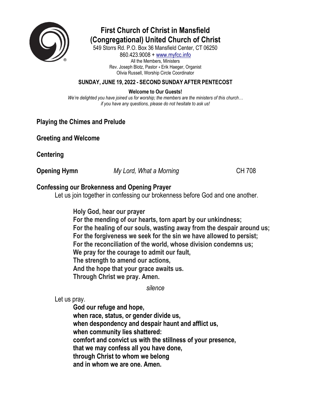

# **First Church of Christ in Mansfield (Congregational) United Church of Christ**

549 Storrs Rd. P.O. Box 36 Mansfield Center, CT 06250

860.423.9008 + [www.myfcc.info](http://www.myfcc.info/) All the Members, Ministers Rev. Joseph Blotz, Pastor + Erik Haeger, Organist Olivia Russell, Worship Circle Coordinator

### **SUNDAY, JUNE 19, 2022 - SECOND SUNDAY AFTER PENTECOST**

### **Welcome to Our Guests!**

*We're delighted you have joined us for worship; the members are the ministers of this church… if you have any questions, please do not hesitate to ask us!*

### **Playing the Chimes and Prelude**

**Greeting and Welcome**

**Centering**

**Opening Hymn** *My Lord, What a Morning* CH 708

### **Confessing our Brokenness and Opening Prayer**

Let us join together in confessing our brokenness before God and one another.

**Holy God, hear our prayer For the mending of our hearts, torn apart by our unkindness; For the healing of our souls, wasting away from the despair around us; For the forgiveness we seek for the sin we have allowed to persist; For the reconciliation of the world, whose division condemns us; We pray for the courage to admit our fault, The strength to amend our actions, And the hope that your grace awaits us. Through Christ we pray. Amen.** 

*silence* 

Let us pray.

**God our refuge and hope, when race, status, or gender divide us, when despondency and despair haunt and afflict us, when community lies shattered: comfort and convict us with the stillness of your presence, that we may confess all you have done, through Christ to whom we belong and in whom we are one. Amen.**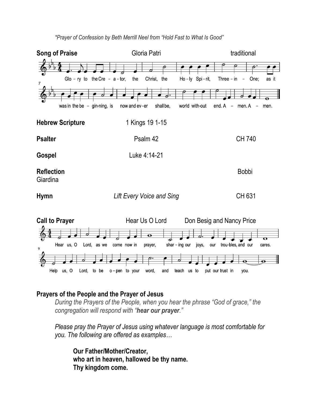

*\*Prayer of Confession by Beth Merrill Neel from "Hold Fast to What Is Good"*

# **Prayers of the People and the Prayer of Jesus**

*During the Prayers of the People, when you hear the phrase "God of grace," the congregation will respond with "hear our prayer."*

*Please pray the Prayer of Jesus using whatever language is most comfortable for you. The following are offered as examples…*

**Our Father/Mother/Creator, who art in heaven, hallowed be thy name. Thy kingdom come.**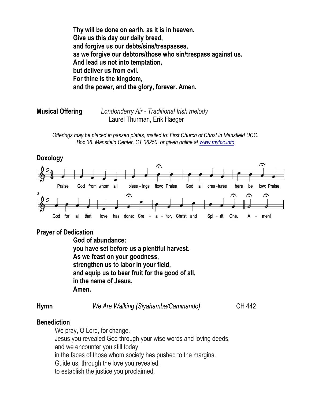**Thy will be done on earth, as it is in heaven. Give us this day our daily bread, and forgive us our debts/sins/trespasses, as we forgive our debtors/those who sin/trespass against us. And lead us not into temptation, but deliver us from evil. For thine is the kingdom, and the power, and the glory, forever. Amen.**

**Musical Offering** *Londonderry Air - Traditional Irish melody*  Laurel Thurman, Erik Haeger

*Offerings may be placed in passed plates, mailed to: First Church of Christ in Mansfield UCC. Box 36. Mansfield Center, CT 06250, or given online at [www.myfcc.info](http://www.myfcc.info/)*

### **Doxology**



### **Prayer of Dedication**

**God of abundance: you have set before us a plentiful harvest. As we feast on your goodness, strengthen us to labor in your field, and equip us to bear fruit for the good of all, in the name of Jesus. Amen.**

**Hymn** *We Are Walking (Siyahamba/Caminando)* CH 442

### **Benediction**

We pray, O Lord, for change. Jesus you revealed God through your wise words and loving deeds, and we encounter you still today in the faces of those whom society has pushed to the margins. Guide us, through the love you revealed, to establish the justice you proclaimed,